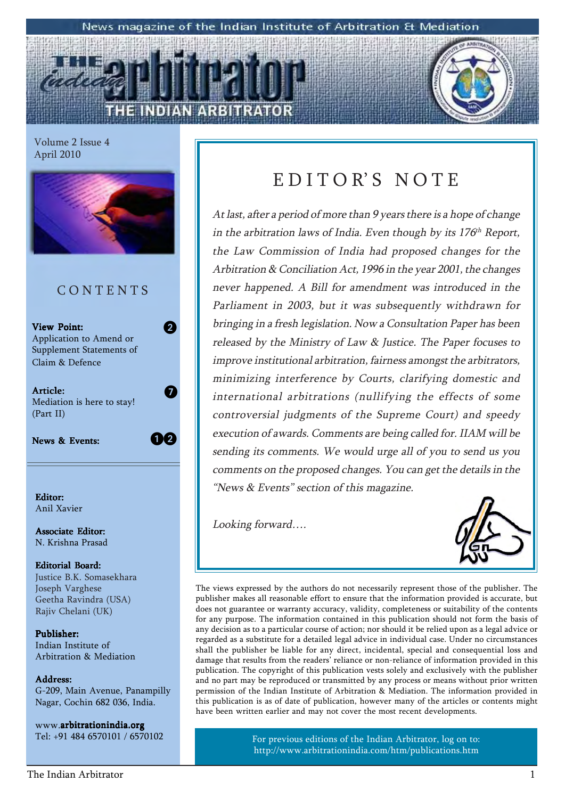#### News magazine of the Indian Institute of Arbitration & Mediation

Volume 2 Issue 4 April 2010



Associate Editor: N. Krishna Prasad

Editorial Board: Justice B.K. Somasekhara Joseph Varghese Geetha Ravindra (USA) Rajiv Chelani (UK)

Publisher: Indian Institute of Arbitration & Mediation

Address: Address: G-209, Main Avenue, Panampilly Nagar, Cochin 682 036, India.

www.arbitrationindia.org Tel: +91 484 6570101 / 6570102

### EDITOR'S NOTE

At last, after a period of more than 9 years there is a hope of change in the arbitration laws of India. Even though by its  $176<sup>th</sup>$  Report, the Law Commission of India had proposed changes for the Arbitration & Conciliation Act, 1996 in the year 2001, the changes never happened. A Bill for amendment was introduced in the Parliament in 2003, but it was subsequently withdrawn for bringing in a fresh legislation. Now a Consultation Paper has been released by the Ministry of Law & Justice. The Paper focuses to improve institutional arbitration, fairness amongst the arbitrators, minimizing interference by Courts, clarifying domestic and international arbitrations (nullifying the effects of some controversial judgments of the Supreme Court) and speedy execution of awards. Comments are being called for. IIAM will be sending its comments. We would urge all of you to send us you comments on the proposed changes. You can get the details in the "News  $&$  Events" section of this magazine.

Looking forward....



The views expressed by the authors do not necessarily represent those of the publisher. The publisher makes all reasonable effort to ensure that the information provided is accurate, but does not guarantee or warranty accuracy, validity, completeness or suitability of the contents for any purpose. The information contained in this publication should not form the basis of any decision as to a particular course of action; nor should it be relied upon as a legal advice or regarded as a substitute for a detailed legal advice in individual case. Under no circumstances shall the publisher be liable for any direct, incidental, special and consequential loss and damage that results from the readers' reliance or non-reliance of information provided in this publication. The copyright of this publication vests solely and exclusively with the publisher and no part may be reproduced or transmitted by any process or means without prior written permission of the Indian Institute of Arbitration & Mediation. The information provided in this publication is as of date of publication, however many of the articles or contents might have been written earlier and may not cover the most recent developments.

> For previous editions of the Indian Arbitrator, log on to: http://www.arbitrationindia.com/htm/publications.htm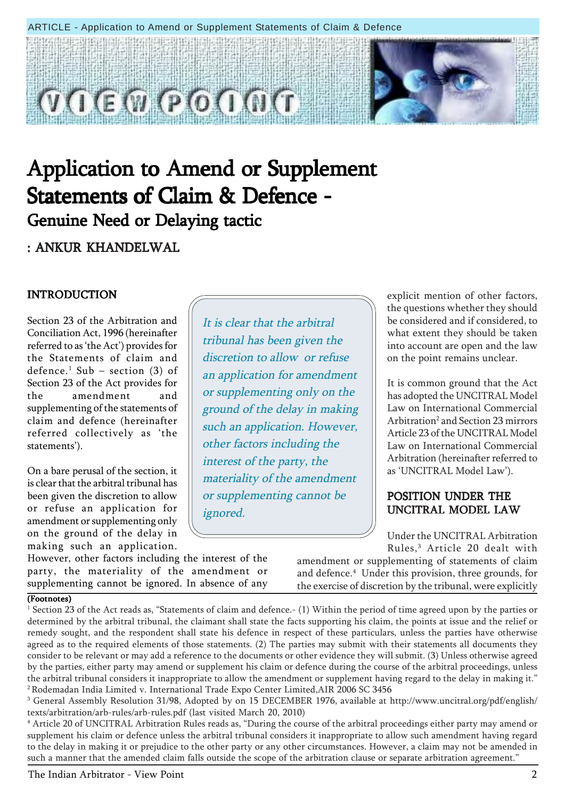#### ARTICLE - Application to Amend or Supplement Statements of Claim & Defence



### Application to Amend or Supplement Statements of Claim & Defence -Genuine Need or Delaying tactic

: ANKUR KHANDELWAL

#### INTRODUCTION

Section 23 of the Arbitration and Conciliation Act, 1996 (hereinafter referred to as 'the Act') provides for the Statements of claim and  $\rm{defence.}^{1}$   $\rm{Sub}$   $-$  section (3) of Section 23 of the Act provides for the amendment and supplementing of the statements of claim and defence (hereinafter referred collectively as 'the statements').

On a bare perusal of the section, it is clear that the arbitral tribunal has been given the discretion to allow or refuse an application for amendment or supplementing only on the ground of the delay in making such an application.

However, other factors including the interest of the party, the materiality of the amendment or supplementing cannot be ignored. In absence of any

It is clear that the arbitral tribunal has been given the discretion to allow or refuse an application for amendment or supplementing only on the ground of the delay in making such an application. However, other factors including the interest of the party, the materiality of the amendment or supplementing cannot be ignored.

explicit mention of other factors, the questions whether they should be considered and if considered, to what extent they should be taken into account are open and the law on the point remains unclear.

It is common ground that the Act has adopted the UNCITRAL Model Law on International Commercial Arbitration<sup>2</sup> and Section 23 mirrors Article 23 of the UNCITRAL Model Law on International Commercial Arbitration (hereinafter referred to as 'UNCITRAL Model Law').

#### POSITION UNDER THE UNCITRAL MODEL LAW

Under the UNCITRAL Arbitration Rules,3 Article 20 dealt with

amendment or supplementing of statements of claim and defence.4 Under this provision, three grounds, for the exercise of discretion by the tribunal, were explicitly

#### (Footnotes)

 $^1$  Section 23 of the Act reads as, "Statements of claim and defence.- (1) Within the period of time agreed upon by the parties or determined by the arbitral tribunal, the claimant shall state the facts supporting his claim, the points at issue and the relief or remedy sought, and the respondent shall state his defence in respect of these particulars, unless the parties have otherwise agreed as to the required elements of those statements. (2) The parties may submit with their statements all documents they consider to be relevant or may add a reference to the documents or other evidence they will submit. (3) Unless otherwise agreed by the parties, either party may amend or supplement his claim or defence during the course of the arbitral proceedings, unless the arbitral tribunal considers it inappropriate to allow the amendment or supplement having regard to the delay in making it." 2 Rodemadan India Limited v. International Trade Expo Center Limited,AIR 2006 SC 3456

3 General Assembly Resolution 31/98, Adopted by on 15 DECEMBER 1976, available at http://www.uncitral.org/pdf/english/ texts/arbitration/arb-rules/arb-rules.pdf (last visited March 20, 2010)

<sup>4</sup> Article 20 of UNCITRAL Arbitration Rules reads as, "During the course of the arbitral proceedings either party may amend or supplement his claim or defence unless the arbitral tribunal considers it inappropriate to allow such amendment having regard to the delay in making it or prejudice to the other party or any other circumstances. However, a claim may not be amended in such a manner that the amended claim falls outside the scope of the arbitration clause or separate arbitration agreement."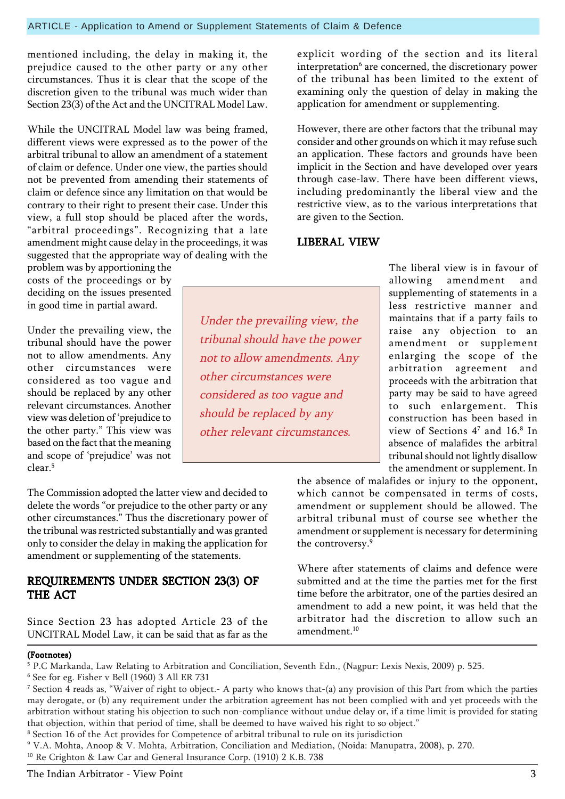mentioned including, the delay in making it, the prejudice caused to the other party or any other circumstances. Thus it is clear that the scope of the discretion given to the tribunal was much wider than Section 23(3) of the Act and the UNCITRAL Model Law.

While the UNCITRAL Model law was being framed, different views were expressed as to the power of the arbitral tribunal to allow an amendment of a statement of claim or defence. Under one view, the parties should not be prevented from amending their statements of claim or defence since any limitation on that would be contrary to their right to present their case. Under this view, a full stop should be placed after the words, "arbitral proceedings". Recognizing that a late amendment might cause delay in the proceedings, it was suggested that the appropriate way of dealing with the

problem was by apportioning the costs of the proceedings or by deciding on the issues presented in good time in partial award.

Under the prevailing view, the tribunal should have the power not to allow amendments. Any other circumstances were considered as too vague and should be replaced by any other relevant circumstances. Another view was deletion of ëprejudice to the other party." This view was based on the fact that the meaning and scope of 'prejudice' was not clear.5

The Commission adopted the latter view and decided to delete the words "or prejudice to the other party or any other circumstances." Thus the discretionary power of the tribunal was restricted substantially and was granted only to consider the delay in making the application for amendment or supplementing of the statements.

#### REQUIREMENTS UNDER SECTION 23(3) OF THE ACT

Since Section 23 has adopted Article 23 of the UNCITRAL Model Law, it can be said that as far as the

explicit wording of the section and its literal interpretation<sup>6</sup> are concerned, the discretionary power of the tribunal has been limited to the extent of examining only the question of delay in making the application for amendment or supplementing.

However, there are other factors that the tribunal may consider and other grounds on which it may refuse such an application. These factors and grounds have been implicit in the Section and have developed over years through case-law. There have been different views, including predominantly the liberal view and the restrictive view, as to the various interpretations that are given to the Section.

#### LIBERAL VIEW

Under the prevailing view, the tribunal should have the power not to allow amendments. Any

other circumstances were

considered as too vague and

other relevant circumstances.

should be replaced by any

The liberal view is in favour of allowing amendment and supplementing of statements in a less restrictive manner and maintains that if a party fails to raise any objection to an amendment or supplement enlarging the scope of the arbitration agreement and proceeds with the arbitration that party may be said to have agreed to such enlargement. This construction has been based in view of Sections  $4^7$  and  $16.^8$  In absence of malafides the arbitral tribunal should not lightly disallow the amendment or supplement. In

the absence of malafides or injury to the opponent, which cannot be compensated in terms of costs, amendment or supplement should be allowed. The arbitral tribunal must of course see whether the amendment or supplement is necessary for determining the controversy.9

Where after statements of claims and defence were submitted and at the time the parties met for the first time before the arbitrator, one of the parties desired an amendment to add a new point, it was held that the arbitrator had the discretion to allow such an amendment $10$ 

#### (Footnotes)

<sup>5</sup> P.C Markanda, Law Relating to Arbitration and Conciliation, Seventh Edn., (Nagpur: Lexis Nexis, 2009) p. 525.

<sup>6</sup> See for eg. Fisher v Bell (1960) 3 All ER 731

 $^7$  Section 4 reads as, "Waiver of right to object.- A party who knows that-(a) any provision of this Part from which the parties may derogate, or (b) any requirement under the arbitration agreement has not been complied with and yet proceeds with the arbitration without stating his objection to such non-compliance without undue delay or, if a time limit is provided for stating that objection, within that period of time, shall be deemed to have waived his right to so object."

<sup>8</sup> Section 16 of the Act provides for Competence of arbitral tribunal to rule on its jurisdiction

<sup>9</sup> V.A. Mohta, Anoop & V. Mohta, Arbitration, Conciliation and Mediation, (Noida: Manupatra, 2008), p. 270.

<sup>&</sup>lt;sup>10</sup> Re Crighton & Law Car and General Insurance Corp. (1910) 2 K.B. 738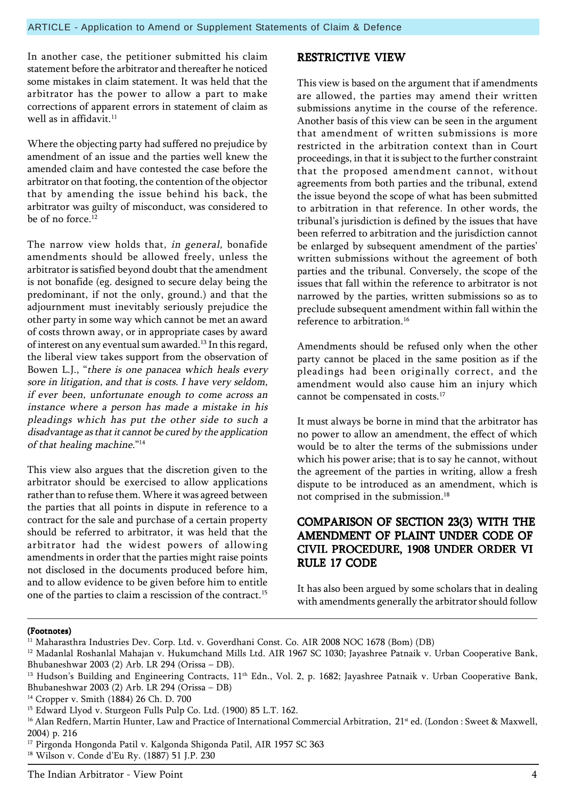In another case, the petitioner submitted his claim statement before the arbitrator and thereafter he noticed some mistakes in claim statement. It was held that the arbitrator has the power to allow a part to make corrections of apparent errors in statement of claim as well as in affidavit. $11$ 

Where the objecting party had suffered no prejudice by amendment of an issue and the parties well knew the amended claim and have contested the case before the arbitrator on that footing, the contention of the objector that by amending the issue behind his back, the arbitrator was guilty of misconduct, was considered to be of no force. $12$ 

The narrow view holds that, in general, bonafide amendments should be allowed freely, unless the arbitrator is satisfied beyond doubt that the amendment is not bonafide (eg. designed to secure delay being the predominant, if not the only, ground.) and that the adjournment must inevitably seriously prejudice the other party in some way which cannot be met an award of costs thrown away, or in appropriate cases by award of interest on any eventual sum awarded.<sup>13</sup> In this regard, the liberal view takes support from the observation of Bowen L.J., "there is one panacea which heals every sore in litigation, and that is costs. I have very seldom, if ever been, unfortunate enough to come across an instance where a person has made a mistake in his pleadings which has put the other side to such a disadvantage as that it cannot be cured by the application of that healing machine. $14$ 

This view also argues that the discretion given to the arbitrator should be exercised to allow applications rather than to refuse them. Where it was agreed between the parties that all points in dispute in reference to a contract for the sale and purchase of a certain property should be referred to arbitrator, it was held that the arbitrator had the widest powers of allowing amendments in order that the parties might raise points not disclosed in the documents produced before him, and to allow evidence to be given before him to entitle one of the parties to claim a rescission of the contract.15

#### RESTRICTIVE VIEW

This view is based on the argument that if amendments are allowed, the parties may amend their written submissions anytime in the course of the reference. Another basis of this view can be seen in the argument that amendment of written submissions is more restricted in the arbitration context than in Court proceedings, in that it is subject to the further constraint that the proposed amendment cannot, without agreements from both parties and the tribunal, extend the issue beyond the scope of what has been submitted to arbitration in that reference. In other words, the tribunal's jurisdiction is defined by the issues that have been referred to arbitration and the jurisdiction cannot be enlarged by subsequent amendment of the parties' written submissions without the agreement of both parties and the tribunal. Conversely, the scope of the issues that fall within the reference to arbitrator is not narrowed by the parties, written submissions so as to preclude subsequent amendment within fall within the reference to arbitration <sup>16</sup>

Amendments should be refused only when the other party cannot be placed in the same position as if the pleadings had been originally correct, and the amendment would also cause him an injury which cannot be compensated in costs.<sup>17</sup>

It must always be borne in mind that the arbitrator has no power to allow an amendment, the effect of which would be to alter the terms of the submissions under which his power arise; that is to say he cannot, without the agreement of the parties in writing, allow a fresh dispute to be introduced as an amendment, which is not comprised in the submission.<sup>18</sup>

#### COMPARISON OF SECTION 23(3) WITH THE AMENDMENT OF PLAINT UNDER CODE OF CIVIL PROCEDURE, 1908 UNDER ORDER VI RULE 17 CODE

It has also been argued by some scholars that in dealing with amendments generally the arbitrator should follow

#### (Footnotes)

<sup>&</sup>lt;sup>11</sup> Maharasthra Industries Dev. Corp. Ltd. v. Goverdhani Const. Co. AIR 2008 NOC 1678 (Bom) (DB)

<sup>&</sup>lt;sup>12</sup> Madanlal Roshanlal Mahajan v. Hukumchand Mills Ltd. AIR 1967 SC 1030; Jayashree Patnaik v. Urban Cooperative Bank, Bhubaneshwar 2003 (2) Arb. LR 294 (Orissa  $-$  DB).

<sup>&</sup>lt;sup>13</sup> Hudson's Building and Engineering Contracts, 11<sup>th</sup> Edn., Vol. 2, p. 1682; Jayashree Patnaik v. Urban Cooperative Bank, Bhubaneshwar 2003 (2) Arb. LR 294 (Orissa  $-$  DB)

<sup>14</sup> Cropper v. Smith (1884) 26 Ch. D. 700

<sup>&</sup>lt;sup>15</sup> Edward Llyod v. Sturgeon Fulls Pulp Co. Ltd. (1900) 85 L.T. 162.

<sup>&</sup>lt;sup>16</sup> Alan Redfern, Martin Hunter, Law and Practice of International Commercial Arbitration, 21<sup>st</sup> ed. (London : Sweet & Maxwell, 2004) p. 216

<sup>&</sup>lt;sup>17</sup> Pirgonda Hongonda Patil v. Kalgonda Shigonda Patil, AIR 1957 SC 363

<sup>&</sup>lt;sup>18</sup> Wilson v. Conde d'Eu Ry. (1887) 51 J.P. 230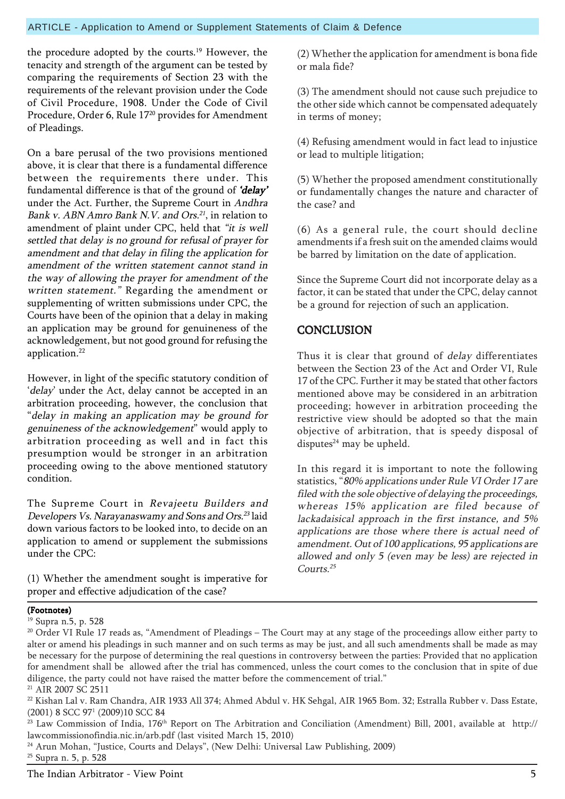the procedure adopted by the courts.19 However, the tenacity and strength of the argument can be tested by comparing the requirements of Section 23 with the requirements of the relevant provision under the Code of Civil Procedure, 1908. Under the Code of Civil Procedure, Order 6, Rule 1720 provides for Amendment of Pleadings.

On a bare perusal of the two provisions mentioned above, it is clear that there is a fundamental difference between the requirements there under. This fundamental difference is that of the ground of 'delay' under the Act. Further, the Supreme Court in Andhra Bank v. ABN Amro Bank N.V. and Ors.<sup>21</sup>, in relation to amendment of plaint under CPC, held that "it is well settled that delay is no ground for refusal of prayer for amendment and that delay in filing the application for amendment of the written statement cannot stand in the way of allowing the prayer for amendment of the written statement." Regarding the amendment or supplementing of written submissions under CPC, the Courts have been of the opinion that a delay in making an application may be ground for genuineness of the acknowledgement, but not good ground for refusing the application.<sup>22</sup>

However, in light of the specific statutory condition of 'delay' under the Act, delay cannot be accepted in an arbitration proceeding, however, the conclusion that "delay in making an application may be ground for genuineness of the acknowledgement" would apply to arbitration proceeding as well and in fact this presumption would be stronger in an arbitration proceeding owing to the above mentioned statutory condition.

The Supreme Court in Revajeetu Builders and Developers Vs. Narayanaswamy and Sons and Ors.<sup>23</sup> laid down various factors to be looked into, to decide on an application to amend or supplement the submissions under the CPC:

(1) Whether the amendment sought is imperative for proper and effective adjudication of the case?

(2) Whether the application for amendment is bona fide or mala fide?

(3) The amendment should not cause such prejudice to the other side which cannot be compensated adequately in terms of money;

(4) Refusing amendment would in fact lead to injustice or lead to multiple litigation;

(5) Whether the proposed amendment constitutionally or fundamentally changes the nature and character of the case? and

(6) As a general rule, the court should decline amendments if a fresh suit on the amended claims would be barred by limitation on the date of application.

Since the Supreme Court did not incorporate delay as a factor, it can be stated that under the CPC, delay cannot be a ground for rejection of such an application.

### **CONCLUSION**

Thus it is clear that ground of delay differentiates between the Section 23 of the Act and Order VI, Rule 17 of the CPC. Further it may be stated that other factors mentioned above may be considered in an arbitration proceeding; however in arbitration proceeding the restrictive view should be adopted so that the main objective of arbitration, that is speedy disposal of disputes $24$  may be upheld.

In this regard it is important to note the following statistics, "80% applications under Rule VI Order 17 are filed with the sole objective of delaying the proceedings, whereas 15% application are filed because of lackadaisical approach in the first instance, and 5% applications are those where there is actual need of amendment. Out of 100 applications, 95 applications are allowed and only 5 (even may be less) are rejected in Courts.<sup>25</sup>

#### (Footnotes)

19 Supra n.5, p. 528

<sup>24</sup> Arun Mohan, "Justice, Courts and Delays", (New Delhi: Universal Law Publishing, 2009) 25 Supra n. 5, p. 528

<sup>&</sup>lt;sup>20</sup> Order VI Rule 17 reads as, "Amendment of Pleadings - The Court may at any stage of the proceedings allow either party to alter or amend his pleadings in such manner and on such terms as may be just, and all such amendments shall be made as may be necessary for the purpose of determining the real questions in controversy between the parties: Provided that no application for amendment shall be allowed after the trial has commenced, unless the court comes to the conclusion that in spite of due diligence, the party could not have raised the matter before the commencement of trial." <sup>21</sup> AIR 2007 SC 2511

<sup>&</sup>lt;sup>22</sup> Kishan Lal v. Ram Chandra, AIR 1933 All 374; Ahmed Abdul v. HK Sehgal, AIR 1965 Bom. 32; Estralla Rubber v. Dass Estate, (2001) 8 SCC 971 (2009)10 SCC 84

<sup>&</sup>lt;sup>23</sup> Law Commission of India, 176<sup>th</sup> Report on The Arbitration and Conciliation (Amendment) Bill, 2001, available at http:// lawcommissionofindia.nic.in/arb.pdf (last visited March 15, 2010)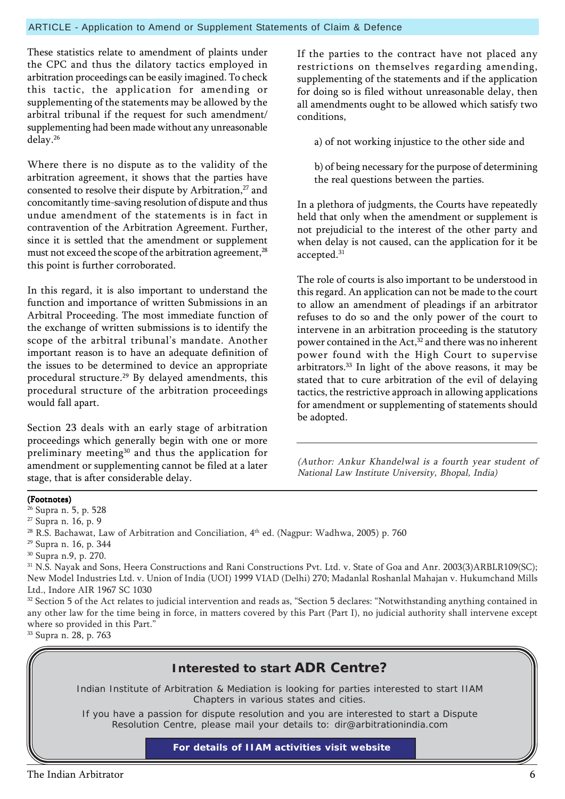#### ARTICLE - Application to Amend or Supplement Statements of Claim & Defence

These statistics relate to amendment of plaints under the CPC and thus the dilatory tactics employed in arbitration proceedings can be easily imagined. To check this tactic, the application for amending or supplementing of the statements may be allowed by the arbitral tribunal if the request for such amendment/ supplementing had been made without any unreasonable delay.26

Where there is no dispute as to the validity of the arbitration agreement, it shows that the parties have consented to resolve their dispute by Arbitration,<sup>27</sup> and concomitantly time-saving resolution of dispute and thus undue amendment of the statements is in fact in contravention of the Arbitration Agreement. Further, since it is settled that the amendment or supplement must not exceed the scope of the arbitration agreement,<sup>28</sup> this point is further corroborated.

In this regard, it is also important to understand the function and importance of written Submissions in an Arbitral Proceeding. The most immediate function of the exchange of written submissions is to identify the scope of the arbitral tribunal's mandate. Another important reason is to have an adequate definition of the issues to be determined to device an appropriate procedural structure.29 By delayed amendments, this procedural structure of the arbitration proceedings would fall apart.

Section 23 deals with an early stage of arbitration proceedings which generally begin with one or more preliminary meeting<sup>30</sup> and thus the application for amendment or supplementing cannot be filed at a later stage, that is after considerable delay.

If the parties to the contract have not placed any restrictions on themselves regarding amending, supplementing of the statements and if the application for doing so is filed without unreasonable delay, then all amendments ought to be allowed which satisfy two conditions,

a) of not working injustice to the other side and

b) of being necessary for the purpose of determining the real questions between the parties.

In a plethora of judgments, the Courts have repeatedly held that only when the amendment or supplement is not prejudicial to the interest of the other party and when delay is not caused, can the application for it be accepted.31

The role of courts is also important to be understood in this regard. An application can not be made to the court to allow an amendment of pleadings if an arbitrator refuses to do so and the only power of the court to intervene in an arbitration proceeding is the statutory power contained in the Act,<sup>32</sup> and there was no inherent power found with the High Court to supervise arbitrators.33 In light of the above reasons, it may be stated that to cure arbitration of the evil of delaying tactics, the restrictive approach in allowing applications for amendment or supplementing of statements should be adopted.

(Author: Ankur Khandelwal is a fourth year student of National Law Institute University, Bhopal, India)

#### (Footnotes)

26 Supra n. 5, p. 528

27 Supra n. 16, p. 9

<sup>28</sup> R.S. Bachawat, Law of Arbitration and Conciliation,  $4<sup>th</sup>$  ed. (Nagpur: Wadhwa, 2005) p. 760

29 Supra n. 16, p. 344

31 N.S. Nayak and Sons, Heera Constructions and Rani Constructions Pvt. Ltd. v. State of Goa and Anr. 2003(3)ARBLR109(SC); New Model Industries Ltd. v. Union of India (UOI) 1999 VIAD (Delhi) 270; Madanlal Roshanlal Mahajan v. Hukumchand Mills Ltd., Indore AIR 1967 SC 1030

<sup>32</sup> Section 5 of the Act relates to judicial intervention and reads as, "Section 5 declares: "Notwithstanding anything contained in any other law for the time being in force, in matters covered by this Part (Part I), no judicial authority shall intervene except where so provided in this Part." 33 Supra n. 28, p. 763



<sup>30</sup> Supra n.9, p. 270.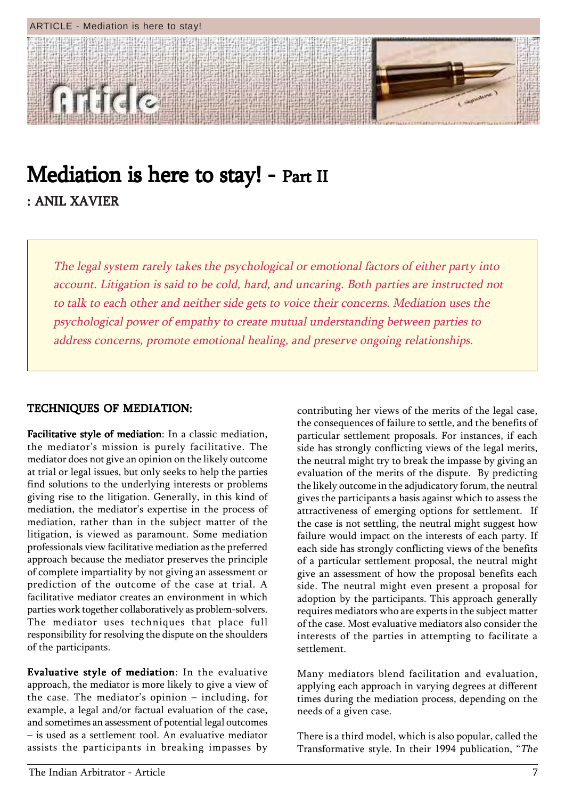

### Mediation is here to stay! - Part II : ANIL XAVIER

The legal system rarely takes the psychological or emotional factors of either party into account. Litigation is said to be cold, hard, and uncaring. Both parties are instructed not to talk to each other and neither side gets to voice their concerns. Mediation uses the psychological power of empathy to create mutual understanding between parties to address concerns, promote emotional healing, and preserve ongoing relationships.

#### TECHNIQUES OF MEDIATION:

Facilitative style of mediation: In a classic mediation, the mediator's mission is purely facilitative. The mediator does not give an opinion on the likely outcome at trial or legal issues, but only seeks to help the parties find solutions to the underlying interests or problems giving rise to the litigation. Generally, in this kind of mediation, the mediator's expertise in the process of mediation, rather than in the subject matter of the litigation, is viewed as paramount. Some mediation professionals view facilitative mediation as the preferred approach because the mediator preserves the principle of complete impartiality by not giving an assessment or prediction of the outcome of the case at trial. A facilitative mediator creates an environment in which parties work together collaboratively as problem-solvers. The mediator uses techniques that place full responsibility for resolving the dispute on the shoulders of the participants.

Evaluative style of mediation: In the evaluative approach, the mediator is more likely to give a view of the case. The mediator's opinion  $-$  including, for example, a legal and/or factual evaluation of the case, and sometimes an assessment of potential legal outcomes - is used as a settlement tool. An evaluative mediator assists the participants in breaking impasses by

contributing her views of the merits of the legal case, the consequences of failure to settle, and the benefits of particular settlement proposals. For instances, if each side has strongly conflicting views of the legal merits, the neutral might try to break the impasse by giving an evaluation of the merits of the dispute. By predicting the likely outcome in the adjudicatory forum, the neutral gives the participants a basis against which to assess the attractiveness of emerging options for settlement. If the case is not settling, the neutral might suggest how failure would impact on the interests of each party. If each side has strongly conflicting views of the benefits of a particular settlement proposal, the neutral might give an assessment of how the proposal benefits each side. The neutral might even present a proposal for adoption by the participants. This approach generally requires mediators who are experts in the subject matter of the case. Most evaluative mediators also consider the interests of the parties in attempting to facilitate a settlement.

Many mediators blend facilitation and evaluation, applying each approach in varying degrees at different times during the mediation process, depending on the needs of a given case.

There is a third model, which is also popular, called the Transformative style. In their 1994 publication, "The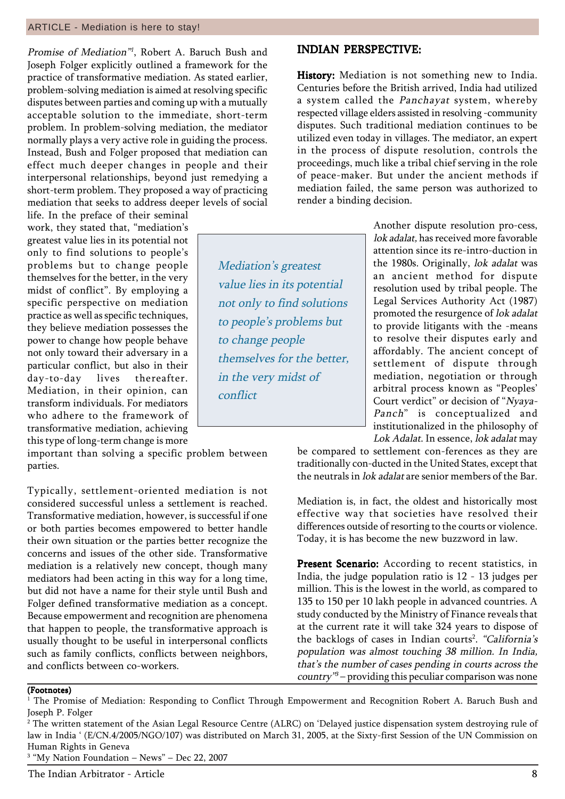#### ARTICLE - Mediation is here to stay!

Promise of Mediation<sup>"1</sup>, Robert A. Baruch Bush and Joseph Folger explicitly outlined a framework for the practice of transformative mediation. As stated earlier, problem-solving mediation is aimed at resolving specific disputes between parties and coming up with a mutually acceptable solution to the immediate, short-term problem. In problem-solving mediation, the mediator normally plays a very active role in guiding the process. Instead, Bush and Folger proposed that mediation can effect much deeper changes in people and their interpersonal relationships, beyond just remedying a short-term problem. They proposed a way of practicing mediation that seeks to address deeper levels of social

life. In the preface of their seminal work, they stated that, "mediation's greatest value lies in its potential not only to find solutions to people's problems but to change people themselves for the better, in the very midst of conflict". By employing a specific perspective on mediation practice as well as specific techniques, they believe mediation possesses the power to change how people behave not only toward their adversary in a particular conflict, but also in their day-to-day lives thereafter. Mediation, in their opinion, can transform individuals. For mediators who adhere to the framework of transformative mediation, achieving this type of long-term change is more

important than solving a specific problem between parties.

Typically, settlement-oriented mediation is not considered successful unless a settlement is reached. Transformative mediation, however, is successful if one or both parties becomes empowered to better handle their own situation or the parties better recognize the concerns and issues of the other side. Transformative mediation is a relatively new concept, though many mediators had been acting in this way for a long time, but did not have a name for their style until Bush and Folger defined transformative mediation as a concept. Because empowerment and recognition are phenomena that happen to people, the transformative approach is usually thought to be useful in interpersonal conflicts such as family conflicts, conflicts between neighbors, and conflicts between co-workers.

#### The Indian Arbitrator - Article 8

(Footnotes)

INDIAN PERSPECTIVE: INDIAN PERSPECTIVE:

History: Mediation is not something new to India. Centuries before the British arrived, India had utilized a system called the Panchayat system, whereby respected village elders assisted in resolving -community disputes. Such traditional mediation continues to be utilized even today in villages. The mediator, an expert in the process of dispute resolution, controls the proceedings, much like a tribal chief serving in the role of peace-maker. But under the ancient methods if mediation failed, the same person was authorized to render a binding decision.

Mediation's greatest value lies in its potential not only to find solutions to people's problems but to change people themselves for the better, in the very midst of conflict

Another dispute resolution pro-cess, lok adalat, has received more favorable attention since its re-intro-duction in the 1980s. Originally, lok adalat was an ancient method for dispute resolution used by tribal people. The Legal Services Authority Act (1987) promoted the resurgence of lok adalat to provide litigants with the -means to resolve their disputes early and affordably. The ancient concept of settlement of dispute through mediation, negotiation or through arbitral process known as "Peoples' Court verdict" or decision of "Nyaya-Panch" is conceptualized and institutionalized in the philosophy of Lok Adalat. In essence, lok adalat may

be compared to settlement con-ferences as they are traditionally con-ducted in the United States, except that the neutrals in lok adalat are senior members of the Bar.

Mediation is, in fact, the oldest and historically most effective way that societies have resolved their differences outside of resorting to the courts or violence. Today, it is has become the new buzzword in law.

Present Scenario: According to recent statistics, in India, the judge population ratio is 12 - 13 judges per million. This is the lowest in the world, as compared to 135 to 150 per 10 lakh people in advanced countries. A study conducted by the Ministry of Finance reveals that at the current rate it will take 324 years to dispose of the backlogs of cases in Indian courts<sup>2</sup>. "California's population was almost touching 38 million. In India, that's the number of cases pending in courts across the  $country''3$  – providing this peculiar comparison was none

 $^{\rm 1}$  The Promise of Mediation: Responding to Conflict Through Empowerment and Recognition Robert A. Baruch Bush and Joseph P. Folger

 $^{\rm 2}$  The written statement of the Asian Legal Resource Centre (ALRC) on 'Delayed justice dispensation system destroying rule of law in India ' (E/CN.4/2005/NGO/107) was distributed on March 31, 2005, at the Sixty-first Session of the UN Commission on Human Rights in Geneva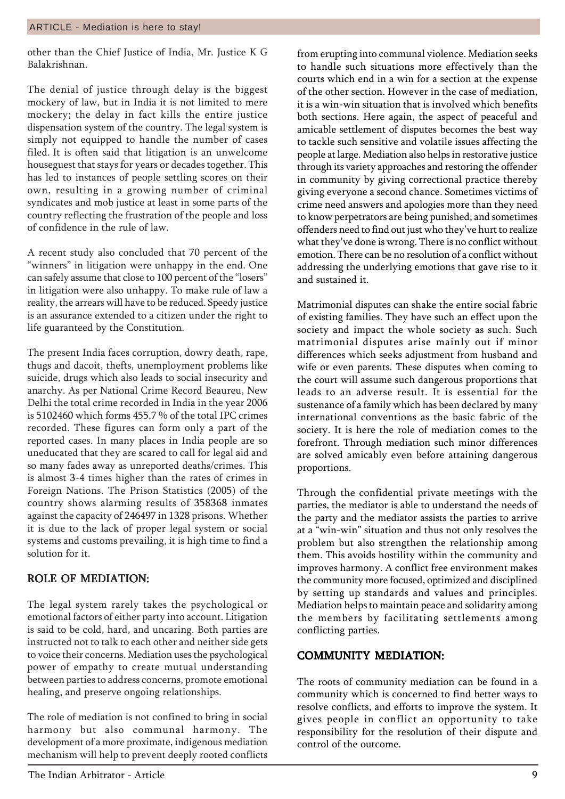other than the Chief Justice of India, Mr. Justice K G Balakrishnan.

The denial of justice through delay is the biggest mockery of law, but in India it is not limited to mere mockery; the delay in fact kills the entire justice dispensation system of the country. The legal system is simply not equipped to handle the number of cases filed. It is often said that litigation is an unwelcome houseguest that stays for years or decades together. This has led to instances of people settling scores on their own, resulting in a growing number of criminal syndicates and mob justice at least in some parts of the country reflecting the frustration of the people and loss of confidence in the rule of law.

A recent study also concluded that 70 percent of the "winners" in litigation were unhappy in the end. One can safely assume that close to 100 percent of the "losers" in litigation were also unhappy. To make rule of law a reality, the arrears will have to be reduced. Speedy justice is an assurance extended to a citizen under the right to life guaranteed by the Constitution.

The present India faces corruption, dowry death, rape, thugs and dacoit, thefts, unemployment problems like suicide, drugs which also leads to social insecurity and anarchy. As per National Crime Record Beaureu, New Delhi the total crime recorded in India in the year 2006 is 5102460 which forms 455.7 % of the total IPC crimes recorded. These figures can form only a part of the reported cases. In many places in India people are so uneducated that they are scared to call for legal aid and so many fades away as unreported deaths/crimes. This is almost 3-4 times higher than the rates of crimes in Foreign Nations. The Prison Statistics (2005) of the country shows alarming results of 358368 inmates against the capacity of 246497 in 1328 prisons. Whether it is due to the lack of proper legal system or social systems and customs prevailing, it is high time to find a solution for it.

#### ROLE OF MEDIATION:

The legal system rarely takes the psychological or emotional factors of either party into account. Litigation is said to be cold, hard, and uncaring. Both parties are instructed not to talk to each other and neither side gets to voice their concerns. Mediation uses the psychological power of empathy to create mutual understanding between parties to address concerns, promote emotional healing, and preserve ongoing relationships.

The role of mediation is not confined to bring in social harmony but also communal harmony. The development of a more proximate, indigenous mediation mechanism will help to prevent deeply rooted conflicts

from erupting into communal violence. Mediation seeks to handle such situations more effectively than the courts which end in a win for a section at the expense of the other section. However in the case of mediation, it is a win-win situation that is involved which benefits both sections. Here again, the aspect of peaceful and amicable settlement of disputes becomes the best way to tackle such sensitive and volatile issues affecting the people at large. Mediation also helps in restorative justice through its variety approaches and restoring the offender in community by giving correctional practice thereby giving everyone a second chance. Sometimes victims of crime need answers and apologies more than they need to know perpetrators are being punished; and sometimes offenders need to find out just who they've hurt to realize what they've done is wrong. There is no conflict without emotion. There can be no resolution of a conflict without addressing the underlying emotions that gave rise to it and sustained it.

Matrimonial disputes can shake the entire social fabric of existing families. They have such an effect upon the society and impact the whole society as such. Such matrimonial disputes arise mainly out if minor differences which seeks adjustment from husband and wife or even parents. These disputes when coming to the court will assume such dangerous proportions that leads to an adverse result. It is essential for the sustenance of a family which has been declared by many international conventions as the basic fabric of the society. It is here the role of mediation comes to the forefront. Through mediation such minor differences are solved amicably even before attaining dangerous proportions.

Through the confidential private meetings with the parties, the mediator is able to understand the needs of the party and the mediator assists the parties to arrive at a "win-win" situation and thus not only resolves the problem but also strengthen the relationship among them. This avoids hostility within the community and improves harmony. A conflict free environment makes the community more focused, optimized and disciplined by setting up standards and values and principles. Mediation helps to maintain peace and solidarity among the members by facilitating settlements among conflicting parties.

#### COMMUNITY MEDIATION: COMMUNITY MEDIATION:

The roots of community mediation can be found in a community which is concerned to find better ways to resolve conflicts, and efforts to improve the system. It gives people in conflict an opportunity to take responsibility for the resolution of their dispute and control of the outcome.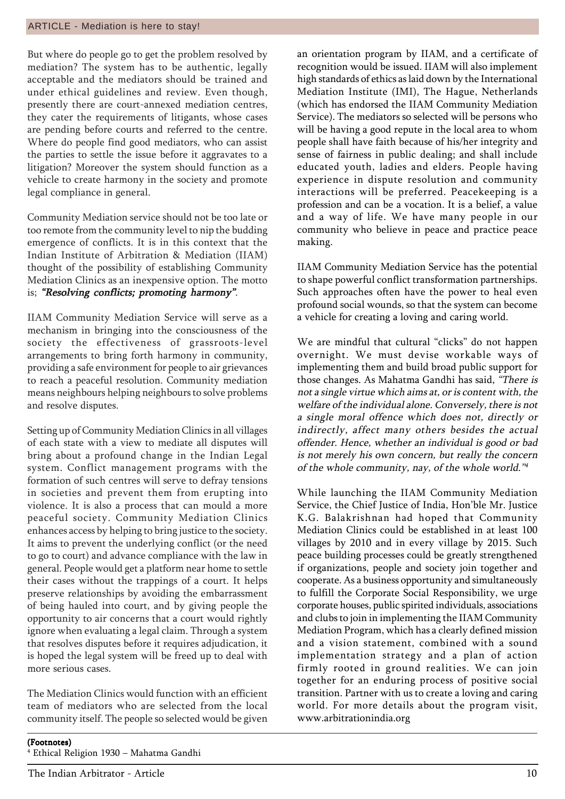But where do people go to get the problem resolved by mediation? The system has to be authentic, legally acceptable and the mediators should be trained and under ethical guidelines and review. Even though, presently there are court-annexed mediation centres, they cater the requirements of litigants, whose cases are pending before courts and referred to the centre. Where do people find good mediators, who can assist the parties to settle the issue before it aggravates to a litigation? Moreover the system should function as a vehicle to create harmony in the society and promote legal compliance in general.

Community Mediation service should not be too late or too remote from the community level to nip the budding emergence of conflicts. It is in this context that the Indian Institute of Arbitration & Mediation (IIAM) thought of the possibility of establishing Community Mediation Clinics as an inexpensive option. The motto is; "Resolving conflicts; promoting harmony".

IIAM Community Mediation Service will serve as a mechanism in bringing into the consciousness of the society the effectiveness of grassroots-level arrangements to bring forth harmony in community, providing a safe environment for people to air grievances to reach a peaceful resolution. Community mediation means neighbours helping neighbours to solve problems and resolve disputes.

Setting up of Community Mediation Clinics in all villages of each state with a view to mediate all disputes will bring about a profound change in the Indian Legal system. Conflict management programs with the formation of such centres will serve to defray tensions in societies and prevent them from erupting into violence. It is also a process that can mould a more peaceful society. Community Mediation Clinics enhances access by helping to bring justice to the society. It aims to prevent the underlying conflict (or the need to go to court) and advance compliance with the law in general. People would get a platform near home to settle their cases without the trappings of a court. It helps preserve relationships by avoiding the embarrassment of being hauled into court, and by giving people the opportunity to air concerns that a court would rightly ignore when evaluating a legal claim. Through a system that resolves disputes before it requires adjudication, it is hoped the legal system will be freed up to deal with more serious cases.

The Mediation Clinics would function with an efficient team of mediators who are selected from the local community itself. The people so selected would be given

an orientation program by IIAM, and a certificate of recognition would be issued. IIAM will also implement high standards of ethics as laid down by the International Mediation Institute (IMI), The Hague, Netherlands (which has endorsed the IIAM Community Mediation Service). The mediators so selected will be persons who will be having a good repute in the local area to whom people shall have faith because of his/her integrity and sense of fairness in public dealing; and shall include educated youth, ladies and elders. People having experience in dispute resolution and community interactions will be preferred. Peacekeeping is a profession and can be a vocation. It is a belief, a value and a way of life. We have many people in our community who believe in peace and practice peace making.

IIAM Community Mediation Service has the potential to shape powerful conflict transformation partnerships. Such approaches often have the power to heal even profound social wounds, so that the system can become a vehicle for creating a loving and caring world.

We are mindful that cultural "clicks" do not happen overnight. We must devise workable ways of implementing them and build broad public support for those changes. As Mahatma Gandhi has said, "There is not a single virtue which aims at, or is content with, the welfare of the individual alone. Conversely, there is not a single moral offence which does not, directly or indirectly, affect many others besides the actual offender. Hence, whether an individual is good or bad is not merely his own concern, but really the concern of the whole community, nay, of the whole world.<sup>34</sup>

While launching the IIAM Community Mediation Service, the Chief Justice of India, Hon'ble Mr. Justice K.G. Balakrishnan had hoped that Community Mediation Clinics could be established in at least 100 villages by 2010 and in every village by 2015. Such peace building processes could be greatly strengthened if organizations, people and society join together and cooperate. As a business opportunity and simultaneously to fulfill the Corporate Social Responsibility, we urge corporate houses, public spirited individuals, associations and clubs to join in implementing the IIAM Community Mediation Program, which has a clearly defined mission and a vision statement, combined with a sound implementation strategy and a plan of action firmly rooted in ground realities. We can join together for an enduring process of positive social transition. Partner with us to create a loving and caring world. For more details about the program visit, www.arbitrationindia.org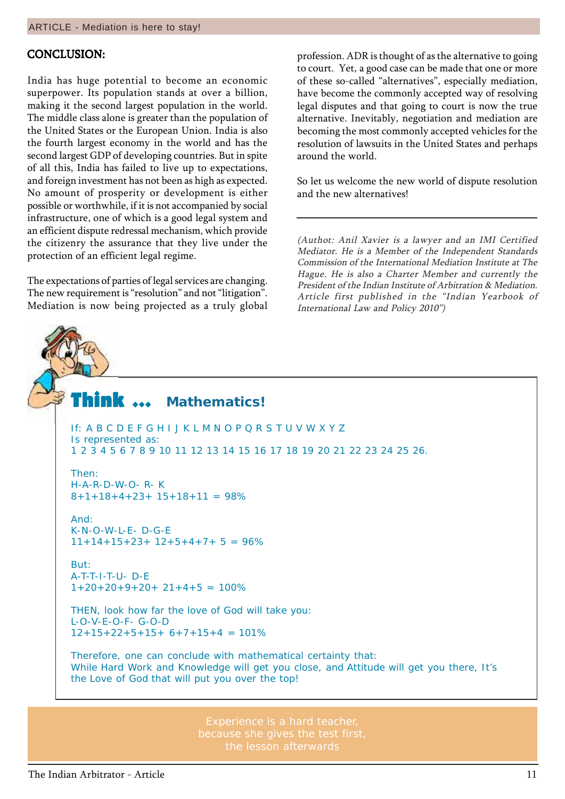#### CONCLUSION:

India has huge potential to become an economic superpower. Its population stands at over a billion, making it the second largest population in the world. The middle class alone is greater than the population of the United States or the European Union. India is also the fourth largest economy in the world and has the second largest GDP of developing countries. But in spite of all this, India has failed to live up to expectations, and foreign investment has not been as high as expected. No amount of prosperity or development is either possible or worthwhile, if it is not accompanied by social infrastructure, one of which is a good legal system and an efficient dispute redressal mechanism, which provide the citizenry the assurance that they live under the protection of an efficient legal regime.

The expectations of parties of legal services are changing. The new requirement is "resolution" and not "litigation". Mediation is now being projected as a truly global

profession. ADR is thought of as the alternative to going to court. Yet, a good case can be made that one or more of these so-called "alternatives", especially mediation, have become the commonly accepted way of resolving legal disputes and that going to court is now the true alternative. Inevitably, negotiation and mediation are becoming the most commonly accepted vehicles for the resolution of lawsuits in the United States and perhaps around the world.

So let us welcome the new world of dispute resolution and the new alternatives!

(Authot: Anil Xavier is a lawyer and an IMI Certified Mediator. He is a Member of the Independent Standards Commission of the International Mediation Institute at The Hague. He is also a Charter Member and currently the President of the Indian Institute of Arbitration & Mediation. Article first published in the "Indian Yearbook of International Law and Policy  $2010$ ")

#### Think  $\, \cdots \,$ **Mathematics!**

If: A B C D E F G H I J K L M N O P Q R S T U V W X Y Z Is represented as: 1 2 3 4 5 6 7 8 9 10 11 12 13 14 15 16 17 18 19 20 21 22 23 24 25 26.

Then: H-A-R-D-W-O- R- K  $8+1+18+4+23+ 15+18+11 = 98%$ 

And: K-N-O-W-L-E- D-G-E  $11+14+15+23+12+5+4+7+5 = 96%$ 

But: A-T-T-I-T-U- D-E  $1+20+20+9+20+21+4+5 = 100\%$ 

THEN, look how far the love of God will take you: L-O-V-E-O-F- G-O-D  $12+15+22+5+15+6+7+15+4 = 101\%$ 

Therefore, one can conclude with mathematical certainty that: While Hard Work and Knowledge will get you close, and Attitude will get you there, It's the Love of God that will put you over the top!

> Experience is a hard teacher, the lesson afterwards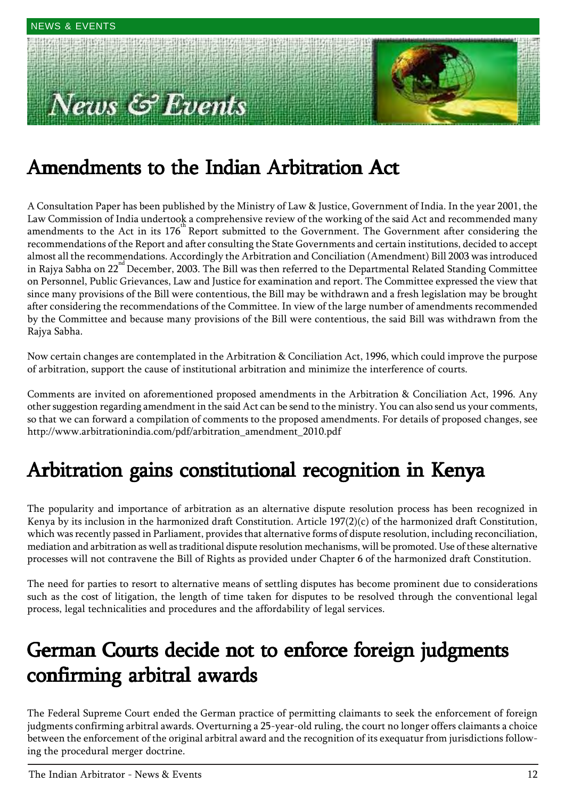# ews & Events



## Amendments to the Indian Arbitration Act

A Consultation Paper has been published by the Ministry of Law & Justice, Government of India. In the year 2001, the Law Commission of India undertook a comprehensive review of the working of the said Act and recommended many amendments to the Act in its  $176<sup>th</sup>$  Report submitted to the Government. The Government after considering the recommendations of the Report and after consulting the State Governments and certain institutions, decided to accept almost all the recommendations. Accordingly the Arbitration and Conciliation (Amendment) Bill 2003 was introduced in Rajya Sabha on 22<sup>nd</sup> December, 2003. The Bill was then referred to the Departmental Related Standing Committee on Personnel, Public Grievances, Law and Justice for examination and report. The Committee expressed the view that since many provisions of the Bill were contentious, the Bill may be withdrawn and a fresh legislation may be brought after considering the recommendations of the Committee. In view of the large number of amendments recommended by the Committee and because many provisions of the Bill were contentious, the said Bill was withdrawn from the Rajya Sabha.

Now certain changes are contemplated in the Arbitration & Conciliation Act, 1996, which could improve the purpose of arbitration, support the cause of institutional arbitration and minimize the interference of courts.

Comments are invited on aforementioned proposed amendments in the Arbitration & Conciliation Act, 1996. Any other suggestion regarding amendment in the said Act can be send to the ministry. You can also send us your comments, so that we can forward a compilation of comments to the proposed amendments. For details of proposed changes, see http://www.arbitrationindia.com/pdf/arbitration\_amendment\_2010.pdf

### Arbitration gains constitutional recognition in Kenya

The popularity and importance of arbitration as an alternative dispute resolution process has been recognized in Kenya by its inclusion in the harmonized draft Constitution. Article 197(2)(c) of the harmonized draft Constitution, which was recently passed in Parliament, provides that alternative forms of dispute resolution, including reconciliation, mediation and arbitration as well as traditional dispute resolution mechanisms, will be promoted. Use of these alternative processes will not contravene the Bill of Rights as provided under Chapter 6 of the harmonized draft Constitution.

The need for parties to resort to alternative means of settling disputes has become prominent due to considerations such as the cost of litigation, the length of time taken for disputes to be resolved through the conventional legal process, legal technicalities and procedures and the affordability of legal services.

### German Courts decide not to enforce foreign judgments confirming arbitral awards

The Federal Supreme Court ended the German practice of permitting claimants to seek the enforcement of foreign judgments confirming arbitral awards. Overturning a 25-year-old ruling, the court no longer offers claimants a choice between the enforcement of the original arbitral award and the recognition of its exequatur from jurisdictions following the procedural merger doctrine.